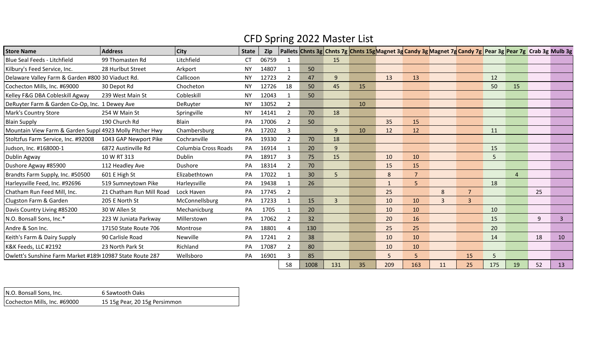## CFD Spring 2022 Master List

| <b>Store Name</b>                                        | <b>Address</b>           | $ $ City             | <b>State</b> | Zip   |                |      |                |    | Pallets Chnts 3g Chnts 7g Chnts 15g Magnet 3g Candy 3g Magnet 7g Candy 7g Pear 3g Pear 7g Crab 3g Mulb 3g |                |              |                |     |                |    |    |
|----------------------------------------------------------|--------------------------|----------------------|--------------|-------|----------------|------|----------------|----|-----------------------------------------------------------------------------------------------------------|----------------|--------------|----------------|-----|----------------|----|----|
| Blue Seal Feeds - Litchfield                             | 99 Thomasten Rd          | Litchfield           | СT           | 06759 |                |      | 15             |    |                                                                                                           |                |              |                |     |                |    |    |
| Kilbury's Feed Service, Inc.                             | 28 Hurlbut Street        | Arkport              | <b>NY</b>    | 14807 |                | 50   |                |    |                                                                                                           |                |              |                |     |                |    |    |
| Delaware Valley Farm & Garden #800 30 Viaduct Rd.        |                          | Callicoon            | <b>NY</b>    | 12723 | 2              | 47   | 9              |    | 13                                                                                                        | 13             |              |                | 12  |                |    |    |
| Cochecton Mills, Inc. #69000                             | 30 Depot Rd              | Chocheton            | <b>NY</b>    | 12726 | 18             | 50   | 45             | 15 |                                                                                                           |                |              |                | 50  | 15             |    |    |
| Kelley F&G DBA Cobleskill Agway                          | 239 West Main St         | Cobleskill           | <b>NY</b>    | 12043 |                | 50   |                |    |                                                                                                           |                |              |                |     |                |    |    |
| DeRuyter Farm & Garden Co-Op, Inc. 1 Dewey Ave           |                          | DeRuyter             | <b>NY</b>    | 13052 | $\overline{2}$ |      |                | 10 |                                                                                                           |                |              |                |     |                |    |    |
| Mark's Country Store                                     | 254 W Main St            | Springville          | <b>NY</b>    | 14141 | 2              | 70   | 18             |    |                                                                                                           |                |              |                |     |                |    |    |
| <b>Blain Supply</b>                                      | 190 Church Rd            | Blain                | PA           | 17006 | $\overline{2}$ | 50   |                |    | 35                                                                                                        | 15             |              |                |     |                |    |    |
| Mountain View Farm & Garden Suppl 4923 Molly Pitcher Hwy |                          | Chambersburg         | PA           | 17202 |                |      | $\mathbf{q}$   | 10 | 12                                                                                                        | 12             |              |                | 11  |                |    |    |
| Stoltzfus Farm Service, Inc. #92008                      | 1043 GAP Newport Pike    | Cochranville         | PA           | 19330 |                | 70   | 18             |    |                                                                                                           |                |              |                |     |                |    |    |
| Judson, Inc. #168000-1                                   | 6872 Austinville Rd      | Columbia Cross Roads | PA           | 16914 |                | 20   | 9              |    |                                                                                                           |                |              |                | 15  |                |    |    |
| Dublin Agway                                             | 10 W RT 313              | Dublin               | PA           | 18917 | 3              | 75   | 15             |    | 10                                                                                                        | 10             |              |                | 5   |                |    |    |
| Dushore Agway #85900                                     | 112 Headley Ave          | Dushore              | PA           | 18314 | 2              | 70   |                |    | 15                                                                                                        | 15             |              |                |     |                |    |    |
| Brandts Farm Supply, Inc. #50500                         | 601 E High St            | Elizabethtown        | PA           | 17022 |                | 30   | 5              |    | $\,8\,$                                                                                                   | $\overline{7}$ |              |                |     | $\overline{4}$ |    |    |
| Harleysville Feed, Inc. #92696                           | 519 Sumneytown Pike      | Harleysville         | PA           | 19438 |                | 26   |                |    | 1                                                                                                         | 5              |              |                | 18  |                |    |    |
| Chatham Run Feed Mill, Inc.                              | 21 Chatham Run Mill Road | Lock Haven           | PA           | 17745 | $\overline{2}$ |      |                |    | 25                                                                                                        |                | 8            | $\overline{7}$ |     |                | 25 |    |
| Clugston Farm & Garden                                   | 205 E North St           | McConnellsburg       | PA           | 17233 |                | 15   | $\overline{3}$ |    | 10                                                                                                        | 10             | $\mathbf{3}$ | $\overline{3}$ |     |                |    |    |
| Davis Country Living #85200                              | 30 W Allen St            | Mechanicburg         | PA           | 1705  |                | 20   |                |    | 10                                                                                                        | 10             |              |                | 10  |                |    |    |
| N.O. Bonsall Sons, Inc.*                                 | 223 W Juniata Parkway    | Millerstown          | PA           | 17062 | 2              | 32   |                |    | 20                                                                                                        | 16             |              |                | 15  |                | 9  | 3  |
| Andre & Son Inc.                                         | 17150 State Route 706    | Montrose             | PA           | 18801 |                | 130  |                |    | 25                                                                                                        | 25             |              |                | 20  |                |    |    |
| Keith's Farm & Dairy Supply                              | 90 Carlisle Road         | Newville             | PA           | 17241 | $\overline{2}$ | 38   |                |    | 10                                                                                                        | 10             |              |                | 14  |                | 18 | 10 |
| K&K Feeds, LLC #2192                                     | 23 North Park St         | Richland             | PA           | 17087 | $\overline{2}$ | 80   |                |    | 10                                                                                                        | 10             |              |                |     |                |    |    |
| Owlett's Sunshine Farm Market #189 10987 State Route 287 |                          | Wellsboro            | PA           | 16901 |                | 85   |                |    | 5                                                                                                         | 5              |              | 15             | 5   |                |    |    |
|                                                          |                          |                      |              |       | 58             | 1008 | 131            | 35 | 209                                                                                                       | 163            | 11           | 25             | 175 | 19             | 52 | 13 |

| N.O. Bonsall Sons, Inc.      | 6 Sawtooth Oaks               |
|------------------------------|-------------------------------|
| Cochecton Mills, Inc. #69000 | 15 15g Pear, 20 15g Persimmon |